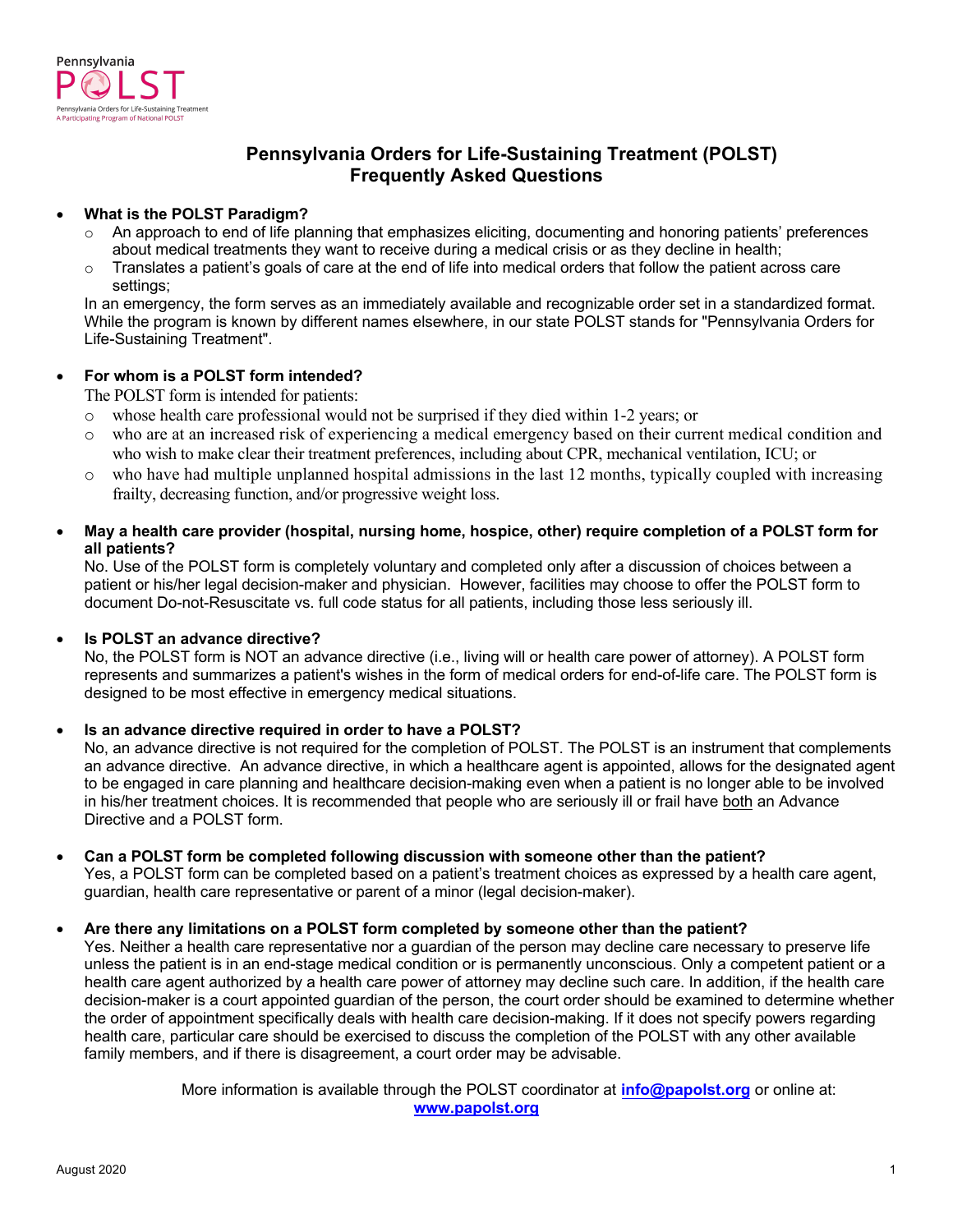

# **Pennsylvania Orders for Life-Sustaining Treatment (POLST) Frequently Asked Questions**

### • **What is the POLST Paradigm?**

- An approach to end of life planning that emphasizes eliciting, documenting and honoring patients' preferences about medical treatments they want to receive during a medical crisis or as they decline in health;
- $\circ$  Translates a patient's goals of care at the end of life into medical orders that follow the patient across care settings;

In an emergency, the form serves as an immediately available and recognizable order set in a standardized format. While the program is known by different names elsewhere, in our state POLST stands for "Pennsylvania Orders for Life-Sustaining Treatment".

### • **For whom is a POLST form intended?**

The POLST form is intended for patients:

- o whose health care professional would not be surprised if they died within 1-2 years; or
- o who are at an increased risk of experiencing a medical emergency based on their current medical condition and who wish to make clear their treatment preferences, including about CPR, mechanical ventilation, ICU; or
- o who have had multiple unplanned hospital admissions in the last 12 months, typically coupled with increasing frailty, decreasing function, and/or progressive weight loss.
- **May a health care provider (hospital, nursing home, hospice, other) require completion of a POLST form for all patients?**

No. Use of the POLST form is completely voluntary and completed only after a discussion of choices between a patient or his/her legal decision-maker and physician. However, facilities may choose to offer the POLST form to document Do-not-Resuscitate vs. full code status for all patients, including those less seriously ill.

### • **Is POLST an advance directive?**

No, the POLST form is NOT an advance directive (i.e., living will or health care power of attorney). A POLST form represents and summarizes a patient's wishes in the form of medical orders for end-of-life care. The POLST form is designed to be most effective in emergency medical situations.

### • **Is an advance directive required in order to have a POLST?**

No, an advance directive is not required for the completion of POLST. The POLST is an instrument that complements an advance directive. An advance directive, in which a healthcare agent is appointed, allows for the designated agent to be engaged in care planning and healthcare decision-making even when a patient is no longer able to be involved in his/her treatment choices. It is recommended that people who are seriously ill or frail have both an Advance Directive and a POLST form.

### • **Can a POLST form be completed following discussion with someone other than the patient?**

Yes, a POLST form can be completed based on a patient's treatment choices as expressed by a health care agent, guardian, health care representative or parent of a minor (legal decision-maker).

### • **Are there any limitations on a POLST form completed by someone other than the patient?**

Yes. Neither a health care representative nor a guardian of the person may decline care necessary to preserve life unless the patient is in an end-stage medical condition or is permanently unconscious. Only a competent patient or a health care agent authorized by a health care power of attorney may decline such care. In addition, if the health care decision-maker is a court appointed guardian of the person, the court order should be examined to determine whether the order of appointment specifically deals with health care decision-making. If it does not specify powers regarding health care, particular care should be exercised to discuss the completion of the POLST with any other available family members, and if there is disagreement, a court order may be advisable.

> More information is available through the POLST coordinator at **[info@papolst.org](mailto:info@papolst.org)** or online at: **www.papolst.org**